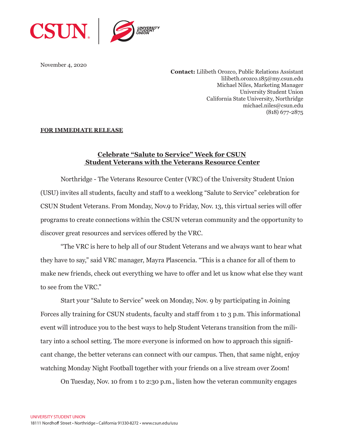

November 4, 2020

**Contact:** Lilibeth Orozco, Public Relations Assistant lilibeth.orozco.185@my.csun.edu Michael Niles, Marketing Manager University Student Union California State University, Northridge michael.niles@csun.edu (818) 677-2875

## **FOR IMMEDIATE RELEASE**

## **Celebrate "Salute to Service" Week for CSUN Student Veterans with the Veterans Resource Center**

Northridge - The Veterans Resource Center (VRC) of the University Student Union (USU) invites all students, faculty and staff to a weeklong "Salute to Service" celebration for CSUN Student Veterans. From Monday, Nov.9 to Friday, Nov. 13, this virtual series will offer programs to create connections within the CSUN veteran community and the opportunity to discover great resources and services offered by the VRC.

"The VRC is here to help all of our Student Veterans and we always want to hear what they have to say," said VRC manager, Mayra Plascencia. "This is a chance for all of them to make new friends, check out everything we have to offer and let us know what else they want to see from the VRC."

Start your "Salute to Service" week on Monday, Nov. 9 by participating in Joining Forces ally training for CSUN students, faculty and staff from 1 to 3 p.m. This informational event will introduce you to the best ways to help Student Veterans transition from the military into a school setting. The more everyone is informed on how to approach this significant change, the better veterans can connect with our campus. Then, that same night, enjoy watching Monday Night Football together with your friends on a live stream over Zoom!

On Tuesday, Nov. 10 from 1 to 2:30 p.m., listen how the veteran community engages